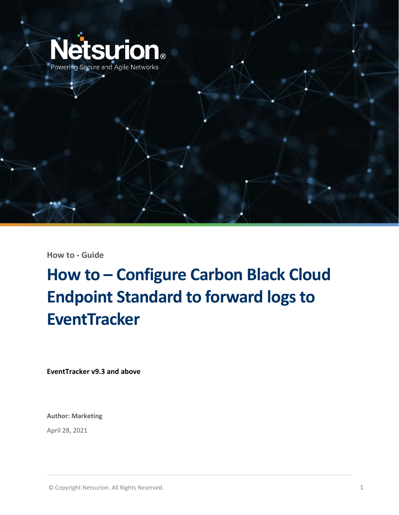

**How to - Guide**

# **How to – Configure Carbon Black Cloud Endpoint Standard to forward logs to EventTracker**

**EventTracker v9.3 and above**

**Author: Marketing**

April 28, 2021

© Copyright Netsurion. All Rights Reserved. 1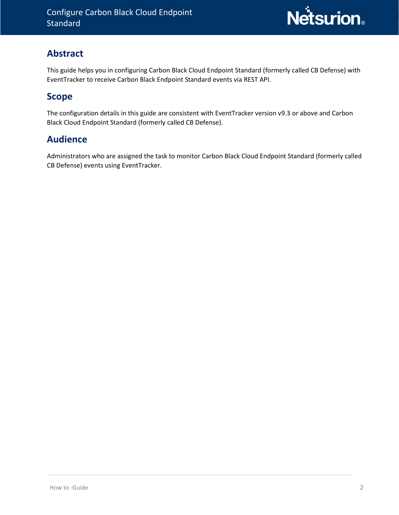

### **Abstract**

This guide helps you in configuring Carbon Black Cloud Endpoint Standard (formerly called CB Defense) with EventTracker to receive Carbon Black Endpoint Standard events via REST API.

#### **Scope**

The configuration details in this guide are consistent with EventTracker version v9.3 or above and Carbon Black Cloud Endpoint Standard (formerly called CB Defense).

#### **Audience**

Administrators who are assigned the task to monitor Carbon Black Cloud Endpoint Standard (formerly called CB Defense) events using EventTracker.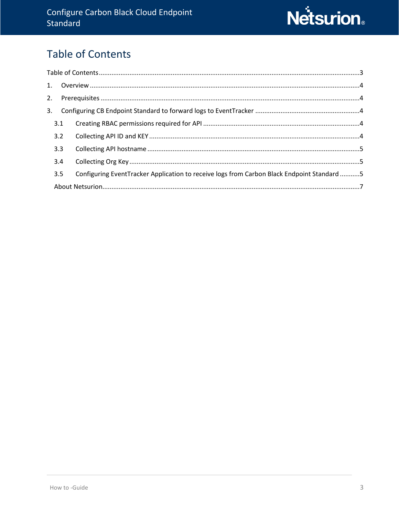# <span id="page-2-0"></span>**Table of Contents**

|  | 3.1 |                                                                                            |  |  |  |  |  |
|--|-----|--------------------------------------------------------------------------------------------|--|--|--|--|--|
|  | 3.2 |                                                                                            |  |  |  |  |  |
|  | 3.3 |                                                                                            |  |  |  |  |  |
|  | 3.4 |                                                                                            |  |  |  |  |  |
|  | 3.5 | Configuring EventTracker Application to receive logs from Carbon Black Endpoint Standard 5 |  |  |  |  |  |
|  |     |                                                                                            |  |  |  |  |  |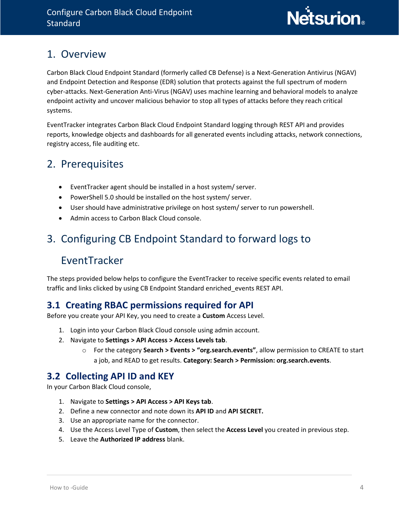## <span id="page-3-0"></span>1. Overview

Carbon Black Cloud Endpoint Standard (formerly called CB Defense) is a Next-Generation Antivirus (NGAV) and Endpoint Detection and Response (EDR) solution that protects against the full spectrum of modern cyber-attacks. Next-Generation Anti-Virus (NGAV) uses machine learning and behavioral models to analyze endpoint activity and uncover malicious behavior to stop all types of attacks before they reach critical systems.

EventTracker integrates Carbon Black Cloud Endpoint Standard logging through REST API and provides reports, knowledge objects and dashboards for all generated events including attacks, network connections, registry access, file auditing etc.

## <span id="page-3-1"></span>2. Prerequisites

- EventTracker agent should be installed in a host system/ server.
- PowerShell 5.0 should be installed on the host system/ server.
- User should have administrative privilege on host system/ server to run powershell.
- Admin access to Carbon Black Cloud console.

# <span id="page-3-2"></span>3. Configuring CB Endpoint Standard to forward logs to

## EventTracker

The steps provided below helps to configure the EventTracker to receive specific events related to email traffic and links clicked by using CB Endpoint Standard enriched\_events REST API.

## <span id="page-3-3"></span>**3.1 Creating RBAC permissions required for API**

Before you create your API Key, you need to create a **Custom** Access Level.

- 1. Login into your Carbon Black Cloud console using admin account.
- 2. Navigate to **Settings > API Access > Access Levels tab**.
	- o For the category **Search > Events > "org.search.events"**, allow permission to CREATE to start a job, and READ to get results. **Category: Search > Permission: org.search.events**.

#### <span id="page-3-4"></span>**3.2 Collecting API ID and KEY**

In your Carbon Black Cloud console,

- 1. Navigate to **Settings > API Access > API Keys tab**.
- 2. Define a new connector and note down its **API ID** and **API SECRET.**
- 3. Use an appropriate name for the connector.
- 4. Use the Access Level Type of **Custom**, then select the **Access Level** you created in previous step.
- 5. Leave the **Authorized IP address** blank.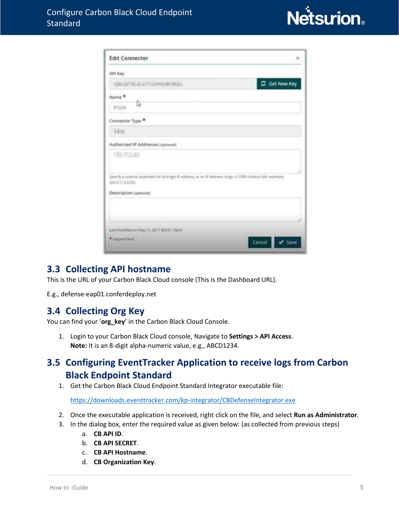

| <b>Edit Connector</b><br>$\propto$                                                                                            |
|-------------------------------------------------------------------------------------------------------------------------------|
| API Key                                                                                                                       |
| C Get New Key<br>visional constructing                                                                                        |
| Name <sup>®</sup><br>0                                                                                                        |
| <b>College</b>                                                                                                                |
| Connector Type                                                                                                                |
| <b>SEM</b>                                                                                                                    |
| Authorized IP Addresses (optional)                                                                                            |
| <b>CONTRACTOR</b>                                                                                                             |
| Specify a comma separated list of single IP address, or an IP address range in CIDR notation (for example,<br>203.0.113.5/321 |
| Description (optional)                                                                                                        |
|                                                                                                                               |
| Last Modified on May 11, 2017 @3.01.15pm                                                                                      |
| * Importantes<br>Cancel                                                                                                       |

#### <span id="page-4-0"></span>**3.3 Collecting API hostname**

This is the URL of your Carbon Black Cloud console (This is the Dashboard URL).

E.g., defense-eap01.conferdeploy.net

#### <span id="page-4-1"></span>**3.4 Collecting Org Key**

You can find your '**org\_key**' in the Carbon Black Cloud Console.

1. Login to your Carbon Black Cloud console, Navigate to **Settings > API Access**. **Note:** It is an 8-digit alpha-numeric value, e.g., ABCD1234.

## <span id="page-4-2"></span>**3.5 Configuring EventTracker Application to receive logs from Carbon Black Endpoint Standard**

1. Get the Carbon Black Cloud Endpoint Standard Integrator executable file:

<https://downloads.eventtracker.com/kp-integrator/CBDefenseIntegrator.exe>

- 2. Once the executable application is received, right click on the file, and select **Run as Administrator**.
- 3. In the dialog box, enter the required value as given below: (as collected from previous steps)
	- a. **CB API ID**.
	- b. **CB API SECRET**.
	- c. **CB API Hostname**.
	- d. **CB Organization Key**.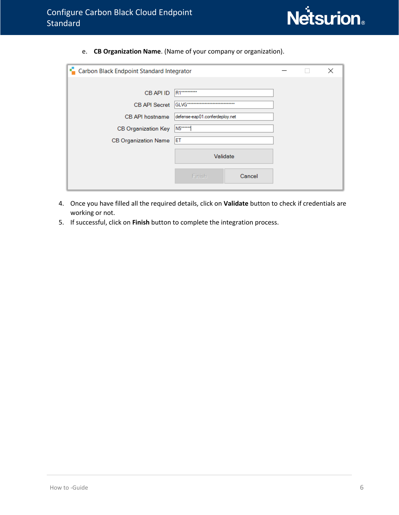

e. **CB Organization Name**. (Name of your company or organization).

| s.<br>Carbon Black Endpoint Standard Integrator |                                |  | $\times$ |
|-------------------------------------------------|--------------------------------|--|----------|
|                                                 |                                |  |          |
| CB API ID                                       | <b>R1*********</b>             |  |          |
| <b>CB API Secret</b>                            |                                |  |          |
| CB API hostname                                 | defense-eap01.conferdeploy.net |  |          |
| CB Organization Key                             | N5******                       |  |          |
| <b>CB Organization Name</b>                     | ET                             |  |          |
|                                                 | Validate                       |  |          |
|                                                 | Finish<br>Cancel               |  |          |

- 4. Once you have filled all the required details, click on **Validate** button to check if credentials are working or not.
- 5. If successful, click on **Finish** button to complete the integration process.